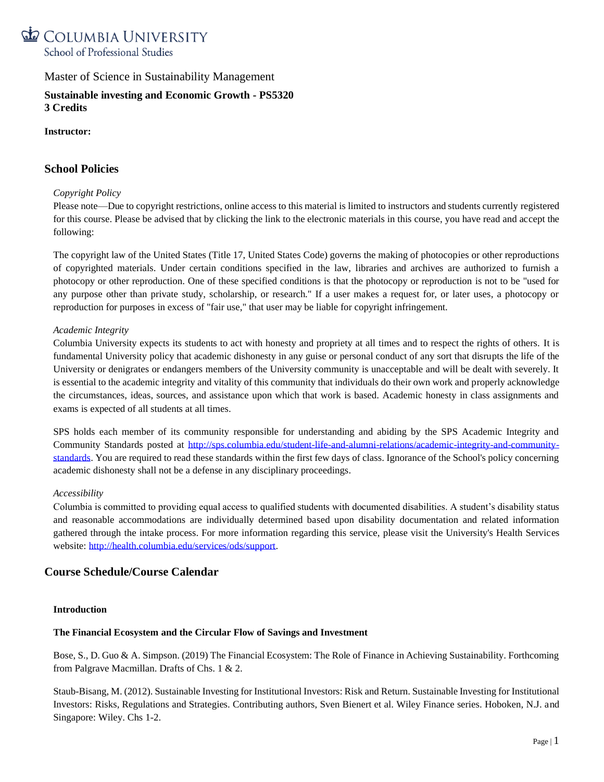

**Sustainable investing and Economic Growth - PS5320 3 Credits**

### **Instructor:**

# **School Policies**

### *Copyright Policy*

Please note—Due to copyright restrictions, online access to this material is limited to instructors and students currently registered for this course. Please be advised that by clicking the link to the electronic materials in this course, you have read and accept the following:

The copyright law of the United States (Title 17, United States Code) governs the making of photocopies or other reproductions of copyrighted materials. Under certain conditions specified in the law, libraries and archives are authorized to furnish a photocopy or other reproduction. One of these specified conditions is that the photocopy or reproduction is not to be "used for any purpose other than private study, scholarship, or research." If a user makes a request for, or later uses, a photocopy or reproduction for purposes in excess of "fair use," that user may be liable for copyright infringement.

### *Academic Integrity*

Columbia University expects its students to act with honesty and propriety at all times and to respect the rights of others. It is fundamental University policy that academic dishonesty in any guise or personal conduct of any sort that disrupts the life of the University or denigrates or endangers members of the University community is unacceptable and will be dealt with severely. It is essential to the academic integrity and vitality of this community that individuals do their own work and properly acknowledge the circumstances, ideas, sources, and assistance upon which that work is based. Academic honesty in class assignments and exams is expected of all students at all times.

SPS holds each member of its community responsible for understanding and abiding by the SPS Academic Integrity and Community Standards posted at [http://sps.columbia.edu/student-life-and-alumni-relations/academic-integrity-and-community](http://sps.columbia.edu/student-life-and-alumni-relations/academic-integrity-and-community-standards)[standards.](http://sps.columbia.edu/student-life-and-alumni-relations/academic-integrity-and-community-standards) You are required to read these standards within the first few days of class. Ignorance of the School's policy concerning academic dishonesty shall not be a defense in any disciplinary proceedings.

### *Accessibility*

Columbia is committed to providing equal access to qualified students with documented disabilities. A student's disability status and reasonable accommodations are individually determined based upon disability documentation and related information gathered through the intake process. For more information regarding this service, please visit the University's Health Services website: [http://health.columbia.edu/services/ods/support.](http://health.columbia.edu/services/ods/support)

# **Course Schedule/Course Calendar**

### **Introduction**

### **The Financial Ecosystem and the Circular Flow of Savings and Investment**

Bose, S., D. Guo & A. Simpson. (2019) The Financial Ecosystem: The Role of Finance in Achieving Sustainability. Forthcoming from Palgrave Macmillan. Drafts of Chs. 1 & 2.

Staub-Bisang, M. (2012). Sustainable Investing for Institutional Investors: Risk and Return. Sustainable Investing for Institutional Investors: Risks, Regulations and Strategies. Contributing authors, Sven Bienert et al. Wiley Finance series. Hoboken, N.J. and Singapore: Wiley. Chs 1-2.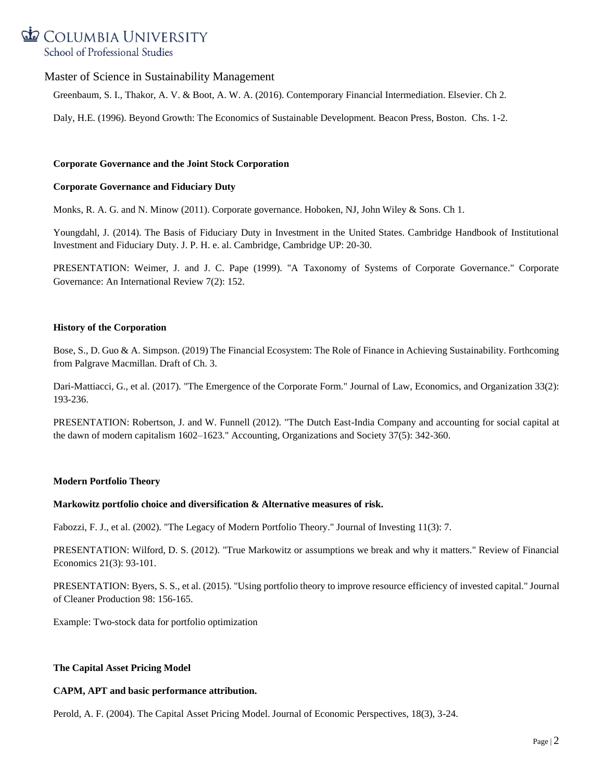# COLUMBIA UNIVERSITY School of Professional Studies

# Master of Science in Sustainability Management

Greenbaum, S. I., Thakor, A. V. & Boot, A. W. A. (2016). Contemporary Financial Intermediation. Elsevier. Ch 2.

Daly, H.E. (1996). Beyond Growth: The Economics of Sustainable Development. Beacon Press, Boston. Chs. 1-2.

### **Corporate Governance and the Joint Stock Corporation**

### **Corporate Governance and Fiduciary Duty**

Monks, R. A. G. and N. Minow (2011). Corporate governance. Hoboken, NJ, John Wiley & Sons. Ch 1.

Youngdahl, J. (2014). The Basis of Fiduciary Duty in Investment in the United States. Cambridge Handbook of Institutional Investment and Fiduciary Duty. J. P. H. e. al. Cambridge, Cambridge UP: 20-30.

PRESENTATION: Weimer, J. and J. C. Pape (1999). "A Taxonomy of Systems of Corporate Governance." Corporate Governance: An International Review 7(2): 152.

### **History of the Corporation**

Bose, S., D. Guo & A. Simpson. (2019) The Financial Ecosystem: The Role of Finance in Achieving Sustainability. Forthcoming from Palgrave Macmillan. Draft of Ch. 3.

Dari-Mattiacci, G., et al. (2017). "The Emergence of the Corporate Form." Journal of Law, Economics, and Organization 33(2): 193-236.

PRESENTATION: Robertson, J. and W. Funnell (2012). "The Dutch East-India Company and accounting for social capital at the dawn of modern capitalism 1602–1623." Accounting, Organizations and Society 37(5): 342-360.

# **Modern Portfolio Theory**

### **Markowitz portfolio choice and diversification & Alternative measures of risk.**

Fabozzi, F. J., et al. (2002). "The Legacy of Modern Portfolio Theory." Journal of Investing 11(3): 7.

PRESENTATION: Wilford, D. S. (2012). "True Markowitz or assumptions we break and why it matters." Review of Financial Economics 21(3): 93-101.

PRESENTATION: Byers, S. S., et al. (2015). "Using portfolio theory to improve resource efficiency of invested capital." Journal of Cleaner Production 98: 156-165.

Example: Two-stock data for portfolio optimization

# **The Capital Asset Pricing Model**

# **CAPM, APT and basic performance attribution.**

Perold, A. F. (2004). The Capital Asset Pricing Model. Journal of Economic Perspectives, 18(3), 3-24.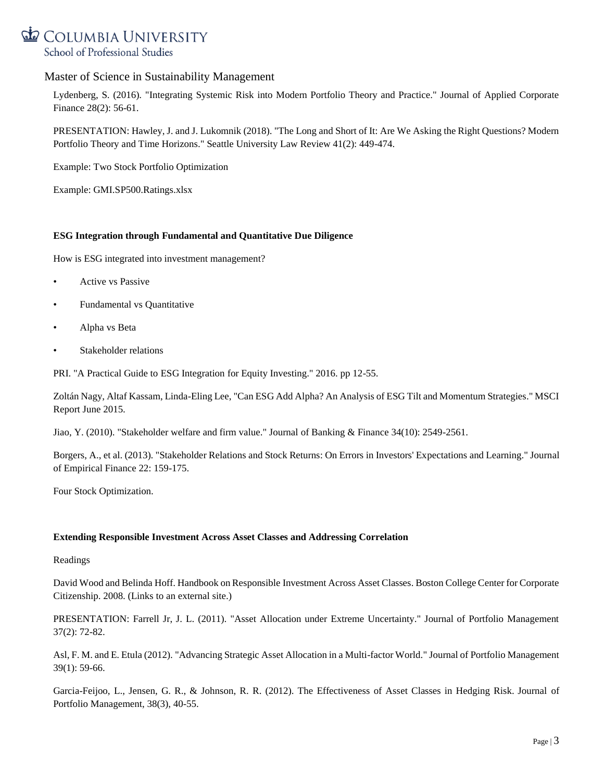

Lydenberg, S. (2016). "Integrating Systemic Risk into Modern Portfolio Theory and Practice." Journal of Applied Corporate Finance 28(2): 56-61.

PRESENTATION: Hawley, J. and J. Lukomnik (2018). "The Long and Short of It: Are We Asking the Right Questions? Modern Portfolio Theory and Time Horizons." Seattle University Law Review 41(2): 449-474.

Example: Two Stock Portfolio Optimization

Example: GMI.SP500.Ratings.xlsx

### **ESG Integration through Fundamental and Quantitative Due Diligence**

How is ESG integrated into investment management?

- Active vs Passive
- Fundamental vs Quantitative
- Alpha vs Beta
- Stakeholder relations

PRI. "A Practical Guide to ESG Integration for Equity Investing." 2016. pp 12-55.

Zoltán Nagy, Altaf Kassam, Linda-Eling Lee, "Can ESG Add Alpha? An Analysis of ESG Tilt and Momentum Strategies." MSCI Report June 2015.

Jiao, Y. (2010). "Stakeholder welfare and firm value." Journal of Banking & Finance 34(10): 2549-2561.

Borgers, A., et al. (2013). "Stakeholder Relations and Stock Returns: On Errors in Investors' Expectations and Learning." Journal of Empirical Finance 22: 159-175.

Four Stock Optimization.

# **Extending Responsible Investment Across Asset Classes and Addressing Correlation**

Readings

David Wood and Belinda Hoff. Handbook on Responsible Investment Across Asset Classes. Boston College Center for Corporate Citizenship. 2008. (Links to an external site.)

PRESENTATION: Farrell Jr, J. L. (2011). "Asset Allocation under Extreme Uncertainty." Journal of Portfolio Management 37(2): 72-82.

Asl, F. M. and E. Etula (2012). "Advancing Strategic Asset Allocation in a Multi-factor World." Journal of Portfolio Management 39(1): 59-66.

Garcia-Feijoo, L., Jensen, G. R., & Johnson, R. R. (2012). The Effectiveness of Asset Classes in Hedging Risk. Journal of Portfolio Management, 38(3), 40-55.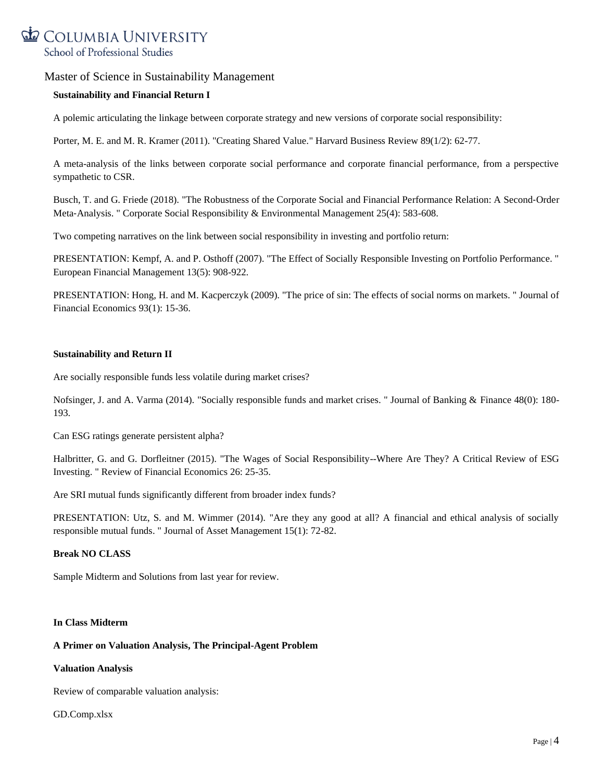

### **Sustainability and Financial Return I**

A polemic articulating the linkage between corporate strategy and new versions of corporate social responsibility:

Porter, M. E. and M. R. Kramer (2011). "Creating Shared Value." Harvard Business Review 89(1/2): 62-77.

A meta-analysis of the links between corporate social performance and corporate financial performance, from a perspective sympathetic to CSR.

Busch, T. and G. Friede (2018). "The Robustness of the Corporate Social and Financial Performance Relation: A Second‐Order Meta-Analysis. " Corporate Social Responsibility & Environmental Management 25(4): 583-608.

Two competing narratives on the link between social responsibility in investing and portfolio return:

PRESENTATION: Kempf, A. and P. Osthoff (2007). "The Effect of Socially Responsible Investing on Portfolio Performance. " European Financial Management 13(5): 908-922.

PRESENTATION: Hong, H. and M. Kacperczyk (2009). "The price of sin: The effects of social norms on markets. " Journal of Financial Economics 93(1): 15-36.

### **Sustainability and Return II**

Are socially responsible funds less volatile during market crises?

Nofsinger, J. and A. Varma (2014). "Socially responsible funds and market crises. " Journal of Banking & Finance 48(0): 180- 193.

Can ESG ratings generate persistent alpha?

Halbritter, G. and G. Dorfleitner (2015). "The Wages of Social Responsibility--Where Are They? A Critical Review of ESG Investing. " Review of Financial Economics 26: 25-35.

Are SRI mutual funds significantly different from broader index funds?

PRESENTATION: Utz, S. and M. Wimmer (2014). "Are they any good at all? A financial and ethical analysis of socially responsible mutual funds. " Journal of Asset Management 15(1): 72-82.

# **Break NO CLASS**

Sample Midterm and Solutions from last year for review.

### **In Class Midterm**

### **A Primer on Valuation Analysis, The Principal-Agent Problem**

### **Valuation Analysis**

Review of comparable valuation analysis:

### GD.Comp.xlsx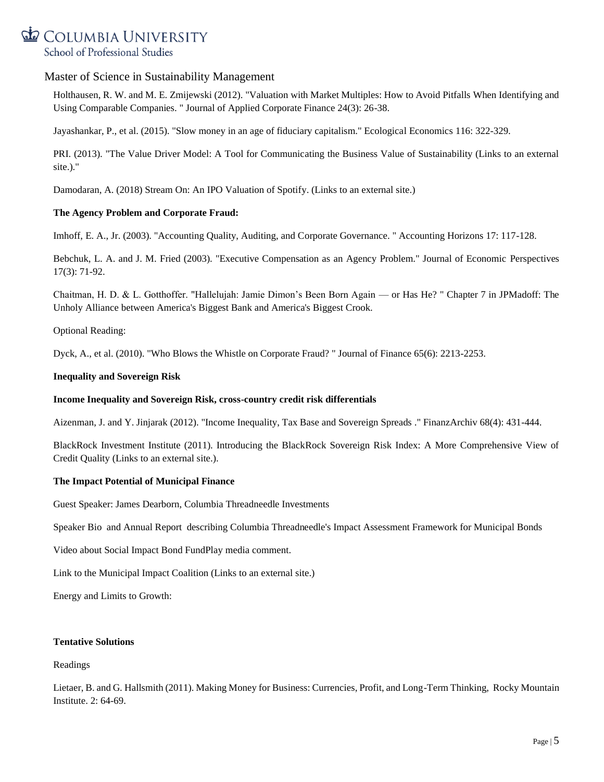

Holthausen, R. W. and M. E. Zmijewski (2012). "Valuation with Market Multiples: How to Avoid Pitfalls When Identifying and Using Comparable Companies. " Journal of Applied Corporate Finance 24(3): 26-38.

Jayashankar, P., et al. (2015). "Slow money in an age of fiduciary capitalism." Ecological Economics 116: 322-329.

PRI. (2013). "The Value Driver Model: A Tool for Communicating the Business Value of Sustainability (Links to an external site.)."

Damodaran, A. (2018) Stream On: An IPO Valuation of Spotify. (Links to an external site.)

### **The Agency Problem and Corporate Fraud:**

Imhoff, E. A., Jr. (2003). "Accounting Quality, Auditing, and Corporate Governance. " Accounting Horizons 17: 117-128.

Bebchuk, L. A. and J. M. Fried (2003). "Executive Compensation as an Agency Problem." Journal of Economic Perspectives 17(3): 71-92.

Chaitman, H. D. & L. Gotthoffer. "Hallelujah: Jamie Dimon's Been Born Again — or Has He? " Chapter 7 in JPMadoff: The Unholy Alliance between America's Biggest Bank and America's Biggest Crook.

Optional Reading:

Dyck, A., et al. (2010). "Who Blows the Whistle on Corporate Fraud? " Journal of Finance 65(6): 2213-2253.

### **Inequality and Sovereign Risk**

### **Income Inequality and Sovereign Risk, cross-country credit risk differentials**

Aizenman, J. and Y. Jinjarak (2012). "Income Inequality, Tax Base and Sovereign Spreads ." FinanzArchiv 68(4): 431-444.

BlackRock Investment Institute (2011). Introducing the BlackRock Sovereign Risk Index: A More Comprehensive View of Credit Quality (Links to an external site.).

### **The Impact Potential of Municipal Finance**

Guest Speaker: James Dearborn, Columbia Threadneedle Investments

Speaker Bio and Annual Report describing Columbia Threadneedle's Impact Assessment Framework for Municipal Bonds

Video about Social Impact Bond FundPlay media comment.

Link to the Municipal Impact Coalition (Links to an external site.)

Energy and Limits to Growth:

### **Tentative Solutions**

### Readings

Lietaer, B. and G. Hallsmith (2011). Making Money for Business: Currencies, Profit, and Long-Term Thinking, Rocky Mountain Institute. 2: 64-69.